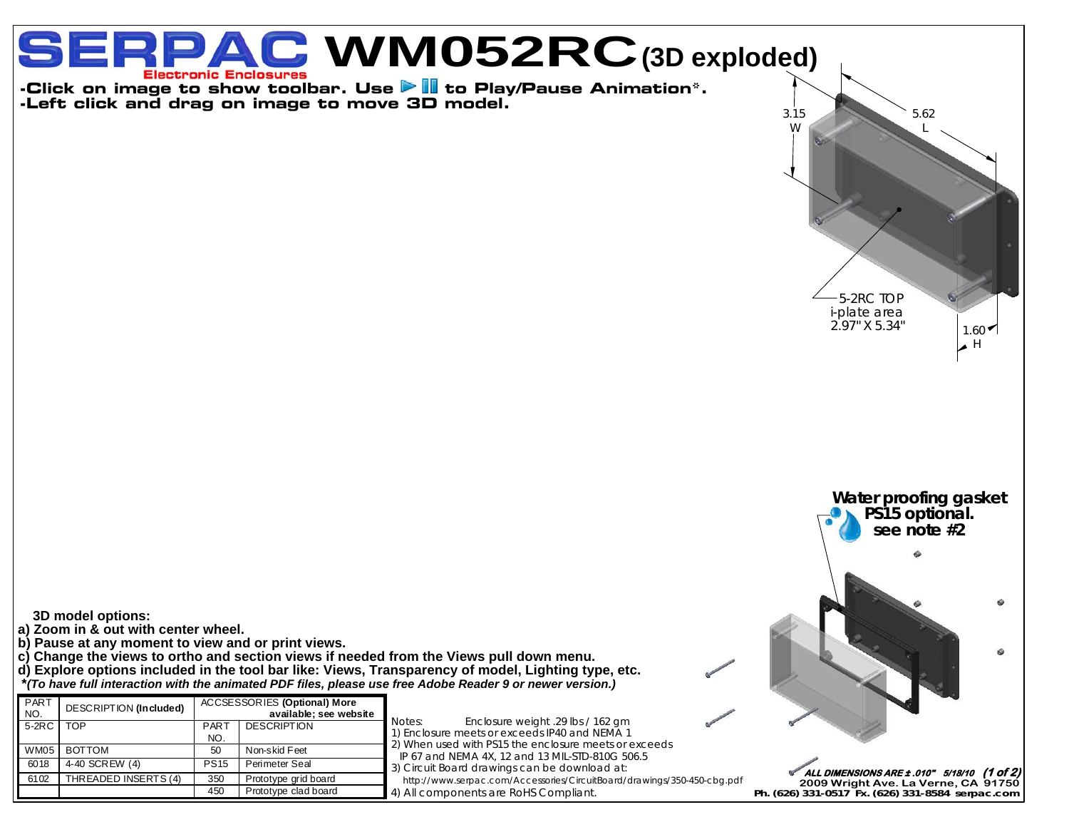